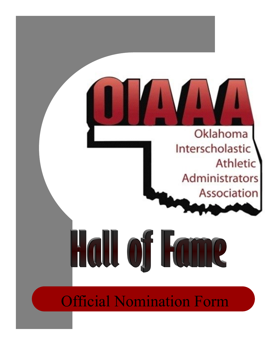

Official Nomination Form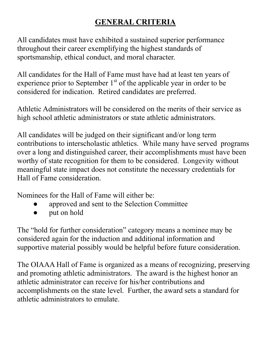# **GENERAL CRITERIA**

All candidates must have exhibited a sustained superior performance throughout their career exemplifying the highest standards of sportsmanship, ethical conduct, and moral character.

All candidates for the Hall of Fame must have had at least ten years of experience prior to September  $1<sup>st</sup>$  of the applicable year in order to be considered for indication. Retired candidates are preferred.

Athletic Administrators will be considered on the merits of their service as high school athletic administrators or state athletic administrators.

All candidates will be judged on their significant and/or long term contributions to interscholastic athletics. While many have served programs over a long and distinguished career, their accomplishments must have been worthy of state recognition for them to be considered. Longevity without meaningful state impact does not constitute the necessary credentials for Hall of Fame consideration.

Nominees for the Hall of Fame will either be:

- approved and sent to the Selection Committee
- put on hold

The "hold for further consideration" category means a nominee may be considered again for the induction and additional information and supportive material possibly would be helpful before future consideration.

The OIAAA Hall of Fame is organized as a means of recognizing, preserving and promoting athletic administrators. The award is the highest honor an athletic administrator can receive for his/her contributions and accomplishments on the state level. Further, the award sets a standard for athletic administrators to emulate.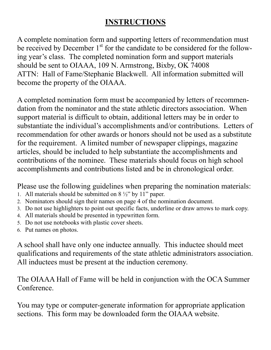## **INSTRUCTIONS**

A complete nomination form and supporting letters of recommendation must be received by December  $1<sup>st</sup>$  for the candidate to be considered for the following year's class. The completed nomination form and support materials should be sent to OIAAA, 109 N. Armstrong, Bixby, OK 74008 ATTN: Hall of Fame/Stephanie Blackwell. All information submitted will become the property of the OIAAA.

A completed nomination form must be accompanied by letters of recommendation from the nominator and the state athletic directors association. When support material is difficult to obtain, additional letters may be in order to substantiate the individual's accomplishments and/or contributions. Letters of recommendation for other awards or honors should not be used as a substitute for the requirement. A limited number of newspaper clippings, magazine articles, should be included to help substantiate the accomplishments and contributions of the nominee. These materials should focus on high school accomplishments and contributions listed and be in chronological order.

Please use the following guidelines when preparing the nomination materials:

- 1. All materials should be submitted on  $8\frac{1}{2}$  by 11" paper.
- 2. Nominators should sign their names on page 4 of the nomination document.
- 3. Do not use highlighters to point out specific facts, underline or draw arrows to mark copy.
- 4. All materials should be presented in typewritten form.
- 5. Do not use notebooks with plastic cover sheets.
- 6. Put names on photos.

A school shall have only one inductee annually. This inductee should meet qualifications and requirements of the state athletic administrators association. All inductees must be present at the induction ceremony.

The OIAAA Hall of Fame will be held in conjunction with the OCA Summer Conference.

You may type or computer-generate information for appropriate application sections. This form may be downloaded form the OIAAA website.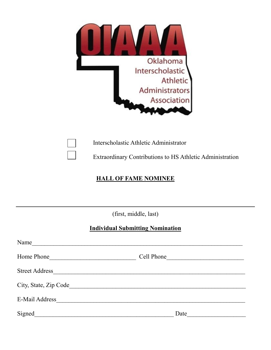

Interscholastic Athletic Administrator

Extraordinary Contributions to HS Athletic Administration

### **HALL OF FAME NOMINEE**

(first, middle, last)

#### **Individual Submitting Nomination**

| Name                  |            |
|-----------------------|------------|
| Home Phone            | Cell Phone |
| <b>Street Address</b> |            |
| City, State, Zip Code |            |
| E-Mail Address        |            |
| Signed                | Date       |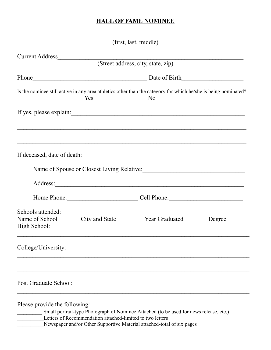### **HALL OF FAME NOMINEE**

|                                                     |                                                           | (first, last, middle)                                                                                                |        |
|-----------------------------------------------------|-----------------------------------------------------------|----------------------------------------------------------------------------------------------------------------------|--------|
| Current Address                                     |                                                           |                                                                                                                      |        |
|                                                     |                                                           | (Street address, city, state, zip)                                                                                   |        |
|                                                     |                                                           | Phone Date of Birth                                                                                                  |        |
|                                                     |                                                           | Is the nominee still active in any area athletics other than the category for which he/she is being nominated?<br>No |        |
|                                                     |                                                           | If yes, please explain:                                                                                              |        |
|                                                     |                                                           |                                                                                                                      |        |
|                                                     |                                                           |                                                                                                                      |        |
|                                                     |                                                           | Name of Spouse or Closest Living Relative: Manual Allen Closest Living Relative:                                     |        |
|                                                     |                                                           |                                                                                                                      |        |
|                                                     |                                                           | Home Phone: Cell Phone: Cell Phone:                                                                                  |        |
| Schools attended:<br>Name of School<br>High School: | <b>City and State</b>                                     | Year Graduated                                                                                                       | Degree |
| College/University:                                 |                                                           |                                                                                                                      |        |
|                                                     |                                                           |                                                                                                                      |        |
| Post Graduate School:                               |                                                           |                                                                                                                      |        |
| Please provide the following:                       | Letters of Recommendation attached-limited to two letters | Small portrait-type Photograph of Nominee Attached (to be used for news release, etc.)                               |        |

-<br>Newspaper and/or Other Supportive Material attached-total of six pages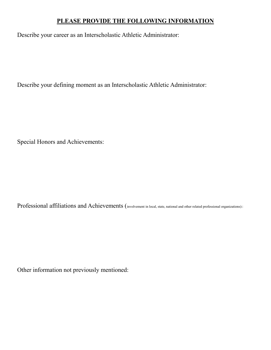#### **PLEASE PROVIDE THE FOLLOWING INFORMATION**

Describe your career as an Interscholastic Athletic Administrator:

Describe your defining moment as an Interscholastic Athletic Administrator:

Special Honors and Achievements:

Professional affiliations and Achievements (involvement in local, state, national and other related professional organizations)::

Other information not previously mentioned: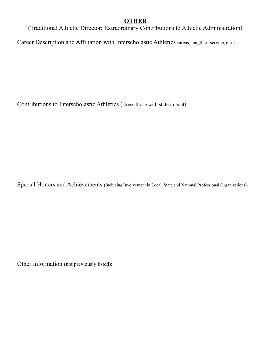#### **OTHER**

(Traditional Athletic Director; Extraordinary Contributions to Athletic Administration)

Career Description and Affiliation with Interscholastic Athletics (areas, length of service, etc.):

Contributions to Interscholastic Athletics (stress those with state impact):

Special Honors and Achievements (Including Involvement in Local, State and National Professional Organizations):

Other Information (not previously listed):